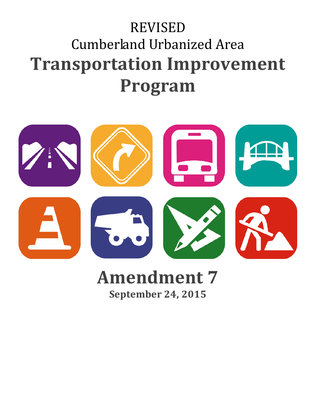# REVISED Cumberland Urbanized Area **Transportation Improvement Program**



# **Amendment 7 September 24, 2015**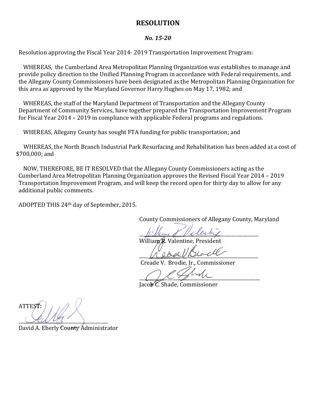### **RESOLUTION**

#### *No. 15-20*

Resolution approving the Fiscal Year 2014- 2019 Transportation Improvement Program:

WHEREAS, the Cumberland Area Metropolitan Planning Organization was establishes to manage and provide policy direction to the Unified Planning Program in accordance with Federal requirements, and the Allegany County Commissioners have been designated as the Metropolitan Planning Organization for this area as approved by the Maryland Governor Harry Hughes on May 17, 1982; and

WHEREAS, the staff of the Maryland Department of Transportation and the Allegany County Department of Community Services, have together prepared the Transportation Improvement Program for Fiscal Year 2014 – 2019 in compliance with applicable Federal programs and regulations.

WHEREAS, Allegany County has sought FTA funding for public transportation; and

 WHEREAS, the North Branch Industrial Park Resurfacing and Rehabilitation has been added at a cost of \$700,000; and

NOW, THEREFORE, BE IT RESOLVED that the Allegany County Commissioners acting as the Cumberland Area Metropolitan Planning Organization approves the Revised Fiscal Year 2014 – 2019 Transportation Improvement Program, and will keep the record open for thirty day to allow for any additional public comments.

ADOPTED THIS 24th day of September, 2015.

County Commissioners of Allegany County, Maryland

 $\#$ 

William R. Valentine, President

 $A$  edge  $\nu$  process

Creade V. Brodie, Jr., Commissioner

 $\bigcup_{i=1}^n A_i \neq \emptyset$ 

Jacob C. Shade, Commissioner

ATTEST:  $\mathcal{A}u\mathcal{A}t$ 

David A. Eberly County Administrator